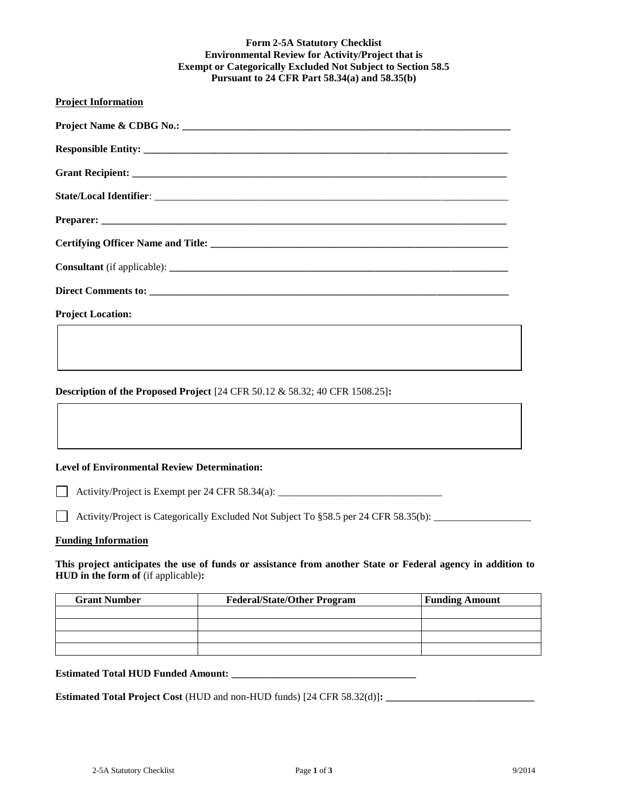# **Form 2-5A Statutory Checklist Environmental Review for Activity/Project that is Exempt or Categorically Excluded Not Subject to Section 58.5 Pursuant to 24 CFR Part 58.34(a) and 58.35(b) Project Information Project Name & CDBG No.: \_\_\_\_\_\_\_\_\_\_\_\_\_\_\_\_\_\_\_\_\_\_\_\_\_\_\_\_\_\_\_\_\_\_\_\_\_\_\_\_\_\_\_\_\_\_\_\_\_\_\_\_\_\_\_\_\_\_\_\_\_\_\_\_** Responsible Entity: **Grant Recipient: \_\_\_\_\_\_\_\_\_\_\_\_\_\_\_\_\_\_\_\_\_\_\_\_\_\_\_\_\_\_\_\_\_\_\_\_\_\_\_\_\_\_\_\_\_\_\_\_\_\_\_\_\_\_\_\_\_\_\_\_\_\_\_\_\_\_\_\_\_\_\_\_\_ State/Local Identifier**: \_\_\_\_\_\_\_\_\_\_\_\_\_\_\_\_\_\_\_\_\_\_\_\_\_\_\_\_\_\_\_\_\_\_\_\_\_\_\_\_\_\_\_\_\_\_\_\_\_\_\_\_\_\_\_\_\_\_\_\_\_\_\_\_\_\_\_\_\_ **Preparer: \_\_\_\_\_\_\_\_\_\_\_\_\_\_\_\_\_\_\_\_\_\_\_\_\_\_\_\_\_\_\_\_\_\_\_\_\_\_\_\_\_\_\_\_\_\_\_\_\_\_\_\_\_\_\_\_\_\_\_\_\_\_\_\_\_\_\_\_\_\_\_\_\_\_\_\_\_\_\_ Certifying Officer Name and Title: \_\_\_\_\_\_\_\_\_\_\_\_\_\_\_\_\_\_\_\_\_\_\_\_\_\_\_\_\_\_\_\_\_\_\_\_\_\_\_\_\_\_\_\_\_\_\_\_\_\_\_\_\_\_\_\_\_\_ Consultant** (if applicable): **\_\_\_\_\_\_\_\_\_\_\_\_\_\_\_\_\_\_\_\_\_\_\_\_\_\_\_\_\_\_\_\_\_\_\_\_\_\_\_\_\_\_\_\_\_\_\_\_\_\_\_\_\_\_\_\_\_\_\_\_\_\_\_\_\_\_ Direct Comments to: \_\_\_\_\_\_\_\_\_\_\_\_\_\_\_\_\_\_\_\_\_\_\_\_\_\_\_\_\_\_\_\_\_\_\_\_\_\_\_\_\_\_\_\_\_\_\_\_\_\_\_\_\_\_\_\_\_\_\_\_\_\_\_\_\_\_\_\_\_\_ Project Location: Description of the Proposed Project** [24 CFR 50.12 & 58.32; 40 CFR 1508.25]**:**

#### **Level of Environmental Review Determination:**

Activity/Project is Exempt per 24 CFR 58.34(a):

Activity/Project is Categorically Excluded Not Subject To  $\S 58.5$  per 24 CFR 58.35(b):

#### **Funding Information**

**This project anticipates the use of funds or assistance from another State or Federal agency in addition to HUD in the form of** (if applicable)**:**

| <b>Grant Number</b> | <b>Federal/State/Other Program</b> | <b>Funding Amount</b> |
|---------------------|------------------------------------|-----------------------|
|                     |                                    |                       |
|                     |                                    |                       |
|                     |                                    |                       |
|                     |                                    |                       |

**Estimated Total HUD Funded Amount: \_\_\_\_\_\_\_\_\_\_\_\_\_\_\_\_\_\_\_\_\_\_\_\_\_\_\_\_\_\_\_\_\_\_\_\_**

**Estimated Total Project Cost** (HUD and non-HUD funds) [24 CFR 58.32(d)]**: \_\_\_\_\_\_\_\_\_\_\_\_\_\_\_\_\_\_\_\_\_\_\_\_\_\_\_\_\_**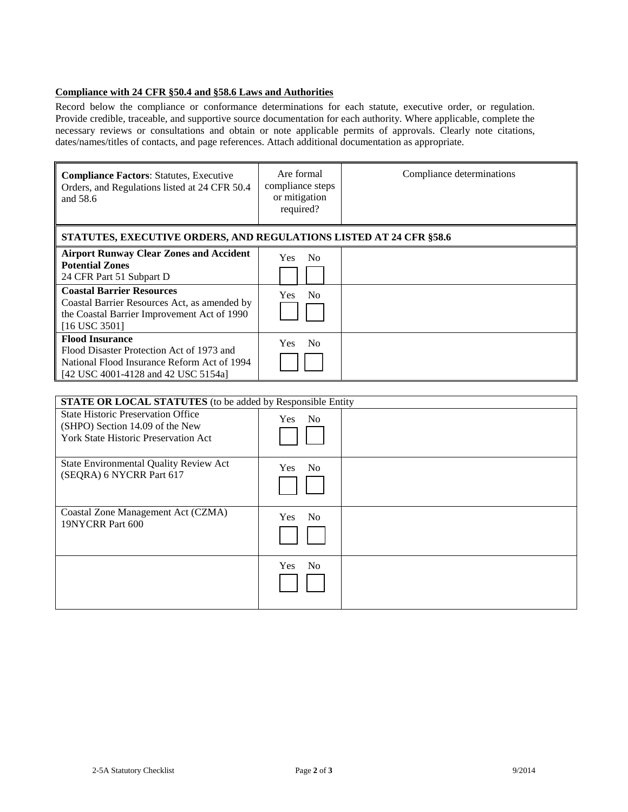### **Compliance with 24 CFR §50.4 and §58.6 Laws and Authorities**

Record below the compliance or conformance determinations for each statute, executive order, or regulation. Provide credible, traceable, and supportive source documentation for each authority. Where applicable, complete the necessary reviews or consultations and obtain or note applicable permits of approvals. Clearly note citations, dates/names/titles of contacts, and page references. Attach additional documentation as appropriate.

| <b>Compliance Factors: Statutes, Executive</b><br>Orders, and Regulations listed at 24 CFR 50.4<br>and 58.6                                               | Are formal<br>compliance steps<br>or mitigation<br>required? | Compliance determinations |  |  |
|-----------------------------------------------------------------------------------------------------------------------------------------------------------|--------------------------------------------------------------|---------------------------|--|--|
| <b>STATUTES, EXECUTIVE ORDERS, AND REGULATIONS LISTED AT 24 CFR §58.6</b>                                                                                 |                                                              |                           |  |  |
| <b>Airport Runway Clear Zones and Accident</b><br><b>Potential Zones</b><br>24 CFR Part 51 Subpart D<br><b>Coastal Barrier Resources</b>                  | N <sub>0</sub><br>Yes.<br>N <sub>0</sub><br><b>Yes</b>       |                           |  |  |
| Coastal Barrier Resources Act, as amended by<br>the Coastal Barrier Improvement Act of 1990<br>$[16$ USC 3501]                                            |                                                              |                           |  |  |
| <b>Flood Insurance</b><br>Flood Disaster Protection Act of 1973 and<br>National Flood Insurance Reform Act of 1994<br>[42 USC 4001-4128 and 42 USC 5154a] | N <sub>0</sub><br>Yes.                                       |                           |  |  |
|                                                                                                                                                           |                                                              |                           |  |  |

| <b>STATE OR LOCAL STATUTES</b> (to be added by Responsible Entity                                                           |                              |  |  |
|-----------------------------------------------------------------------------------------------------------------------------|------------------------------|--|--|
| <b>State Historic Preservation Office</b><br>(SHPO) Section 14.09 of the New<br><b>York State Historic Preservation Act</b> | Yes No                       |  |  |
| State Environmental Quality Review Act<br>(SEQRA) 6 NYCRR Part 617                                                          | No<br><b>Yes</b>             |  |  |
| Coastal Zone Management Act (CZMA)<br>19NYCRR Part 600                                                                      | N <sub>o</sub><br><b>Yes</b> |  |  |
|                                                                                                                             | Yes No                       |  |  |